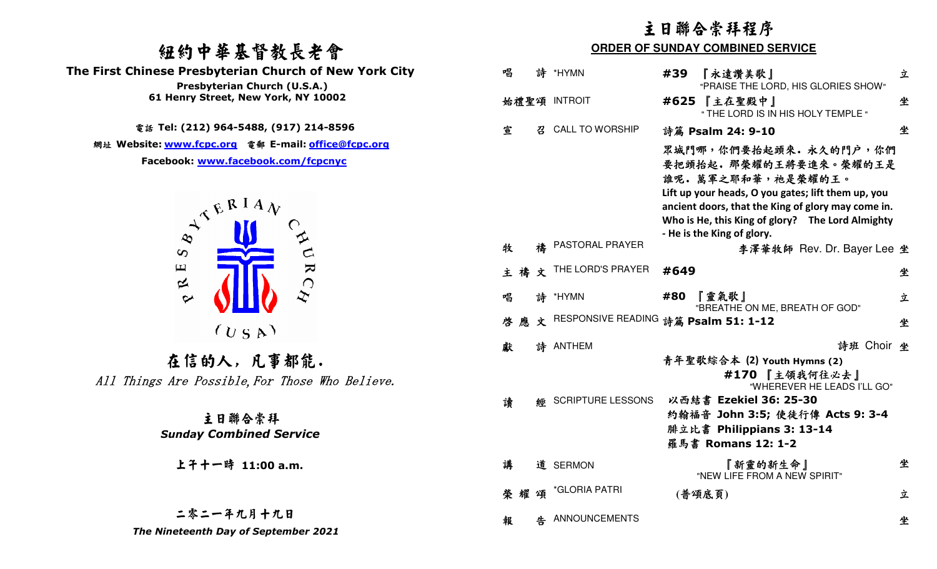# 紐約中華基督教長老會

 **The First Chinese Presbyterian Church of New York City** 



上午十一時 **11:00 a.m.**

## 二零二一年九月十九日

|                                                                                                                                                                                     | 主日聯合崇拜程序 |                                         |                                         |      |                                                                                                                                                                                                                                                                     |   |
|-------------------------------------------------------------------------------------------------------------------------------------------------------------------------------------|----------|-----------------------------------------|-----------------------------------------|------|---------------------------------------------------------------------------------------------------------------------------------------------------------------------------------------------------------------------------------------------------------------------|---|
| 纽约中華基督教長老會                                                                                                                                                                          |          | <b>ORDER OF SUNDAY COMBINED SERVICE</b> |                                         |      |                                                                                                                                                                                                                                                                     |   |
| <b>First Chinese Presbyterian Church of New York City</b><br>Presbyterian Church (U.S.A.)                                                                                           | 唱        |                                         | 詩 *HYMN                                 | #39  | 『永遠讚美歌』<br>"PRAISE THE LORD, HIS GLORIES SHOW"                                                                                                                                                                                                                      | 立 |
| 61 Henry Street, New York, NY 10002                                                                                                                                                 |          |                                         | 始禮聖頌 INTROIT                            |      | #625 【主在聖殿中】<br>" THE LORD IS IN HIS HOLY TEMPLE "                                                                                                                                                                                                                  | 坐 |
| 電話 Tel: (212) 964-5488, (917) 214-8596                                                                                                                                              | 宣        | 召                                       | <b>CALL TO WORSHIP</b>                  |      | 詩篇 Psalm 24: 9-10                                                                                                                                                                                                                                                   | 坐 |
| 網址 Website: <u>www.fcpc.org</u> 電郵 E-mail: <u>office@fcpc.org</u><br>Facebook: www.facebook.com/fcpcnyc<br>$A^{\mathcal{A}^{\mathcal{B}^{\mathcal{R}^{\mathcal{I} A}}\mathcal{N}}}$ |          |                                         |                                         |      | 眾城門哪,你們要抬起頭來. 永久的門户, 你們<br>要把頭抬起。那榮耀的王將要進來。榮耀的王是<br>誰呢。萬軍之耶和華,祂是榮耀的王。<br>Lift up your heads, O you gates; lift them up, you<br>ancient doors, that the King of glory may come in.<br>Who is He, this King of glory? The Lord Almighty<br>- He is the King of glory. |   |
| $\infty$                                                                                                                                                                            | 牧        |                                         | PASTORAL PRAYER                         |      | 李澤華牧師 Rev. Dr. Bayer Lee 坐                                                                                                                                                                                                                                          |   |
| $\blacktriangleright$<br>$\mathbf \mu$<br>$\approx$                                                                                                                                 | 主禱       | 文                                       | THE LORD'S PRAYER                       | #649 |                                                                                                                                                                                                                                                                     | 坐 |
| $\sim$                                                                                                                                                                              | 唱        |                                         | 詩 *HYMN                                 |      | #80 『靈氣歌』<br>"BREATHE ON ME, BREATH OF GOD"                                                                                                                                                                                                                         | 立 |
| (U S A)                                                                                                                                                                             | 啓        |                                         | 應文 RESPONSIVE READING 詩篇 Psalm 51: 1-12 |      |                                                                                                                                                                                                                                                                     | 坐 |
| 在信的人,凡事都能.<br>All Things Are Possible, For Those Who Believe.                                                                                                                       | 獻        |                                         | 詩 ANTHEM                                |      | 詩班 Choir 坐<br>青年聖歌綜合本 (2) Youth Hymns (2)<br>#170 【主領我何往必去】<br>"WHEREVER HE LEADS I'LL GO"                                                                                                                                                                          |   |
| 主日聯合崇拜<br><b>Sunday Combined Service</b>                                                                                                                                            | 讀        | 經                                       | <b>SCRIPTURE LESSONS</b>                |      | 以西結書 Ezekiel 36: 25-30<br>約翰福音 John 3:5; 使徒行傳 Acts 9: 3-4<br>腓立比書 Philippians 3: 13-14<br>羅馬書 Romans 12: 1-2                                                                                                                                                        |   |
| 上午十一時 11:00 a.m.                                                                                                                                                                    | 講        |                                         | 道 SERMON                                |      | 『新靈的新生命』<br>"NEW LIFE FROM A NEW SPIRIT"                                                                                                                                                                                                                            | 坐 |
|                                                                                                                                                                                     | 耀<br>榮   | 頌                                       | *GLORIA PATRI                           |      | (普頌底頁)                                                                                                                                                                                                                                                              | 立 |
| 二零二一年九月十九日<br>The Nineteenth Day of September 2021                                                                                                                                  | 報        |                                         | 告 ANNOUNCEMENTS                         |      |                                                                                                                                                                                                                                                                     | 坐 |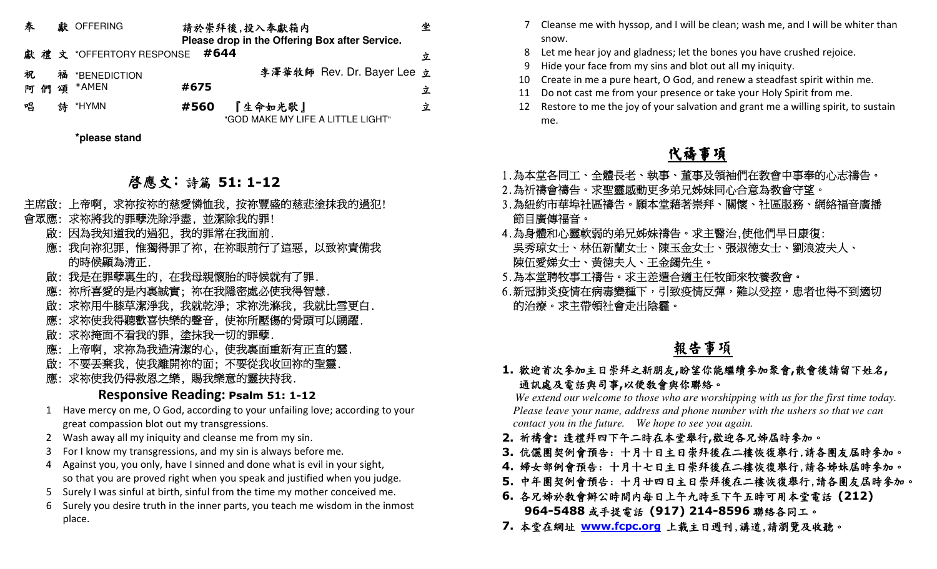| 奉  |   | 獻 OFFERING                   |      | 請於崇拜後,投入奉獻箱内<br>Please drop in the Offering Box after Service. | 坐 |
|----|---|------------------------------|------|----------------------------------------------------------------|---|
|    |   | 獻禮文 *OFFERTORY RESPONSE #644 |      |                                                                | 立 |
| 祝  |   | 福 *BENEDICTION               |      | 李澤華牧師 Rev. Dr. Bayer Lee 立                                     |   |
| শি |   | 頌 *AMEN                      | #675 |                                                                | 立 |
| 唱  | 詩 | *HYMN                        | #560 | 『生命如光歌』<br>"GOD MAKE MY LIFE A LITTLE LIGHT"                   | 立 |
|    |   | *please stand                |      |                                                                |   |

# 啟應文: 詩篇 **51: 1-12**

- 
- 主席啟:上帝啊,求祢按祢的慈愛憐恤我,按祢豐盛的慈悲塗抹我的過犯!<br>會眾應:求祢將我的罪孽洗除淨盡,並潔除我的調!<br>徹底:因為我知道我的過犯,我的罪常在我面前.<br>膨白、因為我知道我的過犯,我的罪常在我面前.<br>應:我向祢犯罪,惟獨得罪了祢,在祢眼前行了這惡,以致祢責備我<br>應:我向祢犯罪,惟獨得罪了祢,在祢眼前行了這惡,以致祢責備我<br>應:我,所喜愛的是內裏誠實;祢在我隱密處必使我得智慧.<br>膨,欲所喜愛的是內裏誠實;祢在我隱密處必使我得智慧.<br>
	-
	-
	-
	-
	-
	-
	-
	-

### **Responsive Reading: Psalm 51: 1-12**

- 1 Have mercy on me, O God, according to your unfailing love; according to your great compassion blot out my transgressions.
	- 2 Wash away all my iniquity and cleanse me from my sin.
	- 3 For I know my transgressions, and my sin is always before me.
	- 4 Against you, you only, have I sinned and done what is evil in your sight, so that you are proved right when you speak and justified when you judge.
	- 5 Surely I was sinful at birth, sinful from the time my mother conceived me.
	- 6 Surely you desire truth in the inner parts, you teach me wisdom in the inmost place.
- 7 Cleanse me with hyssop, and I will be clean; wash me, and I will be whiter than snow.
- 8 Let me hear joy and gladness; let the bones you have crushed rejoice.
- 9 Hide your face from my sins and blot out all my iniquity.
- 10 Create in me a pure heart, O God, and renew a steadfast spirit within me.
- 11 Do not cast me from your presence or take your Holy Spirit from me.
- 12 Restore to me the joy of your salvation and grant me a willing spirit, to sustain me.

# 代禱事項

- 
- 
- 
- 1.為本堂各同工、全體長老、執事、董事及領袖們在教會中事奉的心志禱告。<br>2.為祈禱會禱告。求聖靈感動更多弟兄姊妹同心合意為教會守望。<br>3.為紐約市華埠社區禱告。願本堂藉著崇拜、關懷、社區服務、網絡福音廣播<br>節目廣傳福音。<br>第五節分別,兄姊妹禱告。求主醫治,使他們早日康復:<br>第五節度和心靈軟弱的弟兄姊妹禱告。求主醫治,使他們早日康復:<br>吳秀琼女士、大伍新蘭女士、陳玉金女士、張淑德女士、劉浪波夫人、<br>原伍愛娣女士、黃德夫人、王金鐲先生。<br>5.
- 
- 

## 報告事項

### **1.** 歡迎首次參加主日崇拜之新朋友**,**盼望你能繼續參加聚會**,**散會後請留下姓名**,**  通訊處及電話與司事**,**以便教會與你聯絡。

 *We extend our welcome to those who are worshipping with us for the first time today. Please leave your name, address and phone number with the ushers so that we can contact you in the future. We hope to see you again.*

- **2.** 祈禱會**:** 逢禮拜四下午二時在本堂舉行**,**歡迎各兄姊屆時參加。
- **3.** 伉儷團契例會預告: 十月十日主日崇拜後在二樓恢復舉行,請各團友屆時參加。
- **4.** 婦女部例會預告: 十月十七日主日崇拜後在二樓恢復舉行,請各姊妹屆時參加。
- **5.** 中年團契例會預告: 十月廿四日主日崇拜後在二樓恢復舉行,請各團友屆時參加。
- **6.** 各兄姊於教會辦公時間內每日上午九時至下午五時可用本堂電話 **(212) 964-5488** 或手提電話 **(917) 214-8596** 聯絡各同工。
- **7.** 本堂在網址 **www.fcpc.org** 上載主日週刊,講道,請瀏覽及收聽。